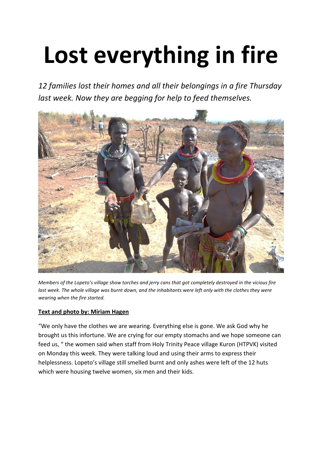## **Lost everything in fire**

*12 families lost their homes and all their belongings in a fire Thursday last week. Now they are begging for help to feed themselves.* 



*Members of the Lopeto's village show torches and jerry cans that got completely destroyed in the vicious fire*  last week. The whole village was burnt down, and the inhabitants were left only with the clothes they were *wearing when the fire started.*

## **Text and photo by: Miriam Hagen**

"We only have the clothes we are wearing. Everything else is gone. We ask God why he brought us this infortune. We are crying for our empty stomachs and we hope someone can feed us, " the women said when staff from Holy Trinity Peace village Kuron (HTPVK) visited on Monday this week. They were talking loud and using their arms to express their helplessness. Lopeto's village still smelled burnt and only ashes were left of the 12 huts which were housing twelve women, six men and their kids.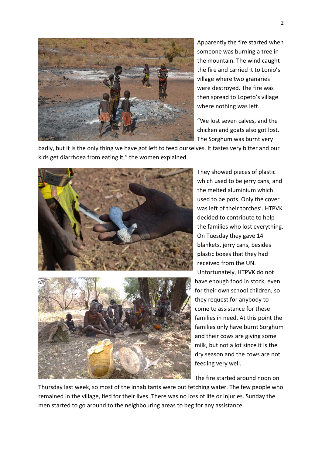

Apparently the fire started when someone was burning a tree in the mountain. The wind caught the fire and carried it to Lonio's village where two granaries were destroyed. The fire was then spread to Lopeto's village where nothing was left.

"We lost seven calves, and the chicken and goats also got lost. The Sorghum was burnt very

badly, but it is the only thing we have got left to feed ourselves. It tastes very bitter and our kids get diarrhoea from eating it," the women explained.



They showed pieces of plastic which used to be jerry cans, and the melted aluminium which used to be pots. Only the cover was left of their torches'. HTPVK decided to contribute to help the families who lost everything. On Tuesday they gave 14 blankets, jerry cans, besides plastic boxes that they had received from the UN. Unfortunately, HTPVK do not have enough food in stock, even for their own school children, so they request for anybody to come to assistance for these families in need. At this point the families only have burnt Sorghum and their cows are giving some milk, but not a lot since it is the dry season and the cows are not feeding very well.

The fire started around noon on

Thursday last week, so most of the inhabitants were out fetching water. The few people who remained in the village, fled for their lives. There was no loss of life or injuries. Sunday the men started to go around to the neighbouring areas to beg for any assistance.